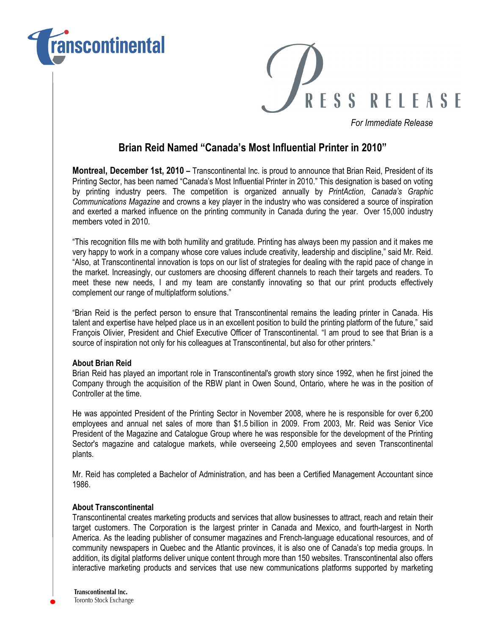



For Immediate Release

## Brian Reid Named "Canada's Most Influential Printer in 2010"

Montreal, December 1st, 2010 – Transcontinental Inc. is proud to announce that Brian Reid, President of its Printing Sector, has been named "Canada's Most Influential Printer in 2010." This designation is based on voting by printing industry peers. The competition is organized annually by PrintAction, Canada's Graphic Communications Magazine and crowns a key player in the industry who was considered a source of inspiration and exerted a marked influence on the printing community in Canada during the year. Over 15,000 industry members voted in 2010.

"This recognition fills me with both humility and gratitude. Printing has always been my passion and it makes me very happy to work in a company whose core values include creativity, leadership and discipline," said Mr. Reid. "Also, at Transcontinental innovation is tops on our list of strategies for dealing with the rapid pace of change in the market. Increasingly, our customers are choosing different channels to reach their targets and readers. To meet these new needs, I and my team are constantly innovating so that our print products effectively complement our range of multiplatform solutions."

"Brian Reid is the perfect person to ensure that Transcontinental remains the leading printer in Canada. His talent and expertise have helped place us in an excellent position to build the printing platform of the future," said François Olivier, President and Chief Executive Officer of Transcontinental. "I am proud to see that Brian is a source of inspiration not only for his colleagues at Transcontinental, but also for other printers."

## About Brian Reid

Brian Reid has played an important role in Transcontinental's growth story since 1992, when he first joined the Company through the acquisition of the RBW plant in Owen Sound, Ontario, where he was in the position of Controller at the time.

He was appointed President of the Printing Sector in November 2008, where he is responsible for over 6,200 employees and annual net sales of more than \$1.5 billion in 2009. From 2003, Mr. Reid was Senior Vice President of the Magazine and Catalogue Group where he was responsible for the development of the Printing Sector's magazine and catalogue markets, while overseeing 2,500 employees and seven Transcontinental plants.

Mr. Reid has completed a Bachelor of Administration, and has been a Certified Management Accountant since 1986.

## About Transcontinental

Transcontinental creates marketing products and services that allow businesses to attract, reach and retain their target customers. The Corporation is the largest printer in Canada and Mexico, and fourth-largest in North America. As the leading publisher of consumer magazines and French-language educational resources, and of community newspapers in Quebec and the Atlantic provinces, it is also one of Canada's top media groups. In addition, its digital platforms deliver unique content through more than 150 websites. Transcontinental also offers interactive marketing products and services that use new communications platforms supported by marketing